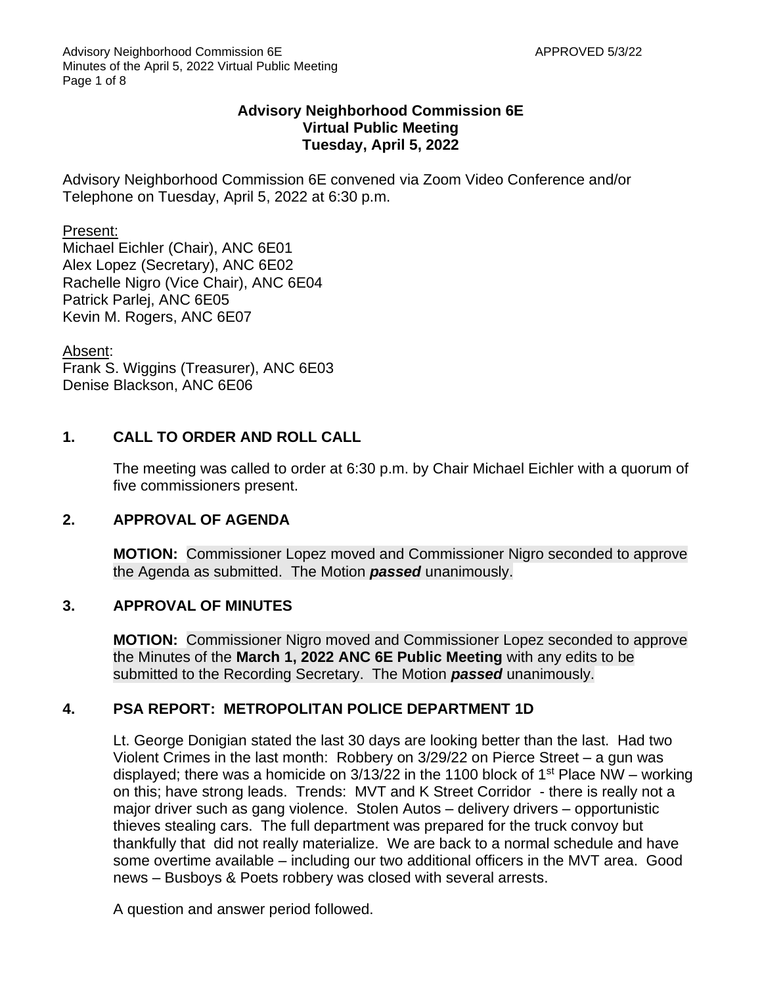## **Advisory Neighborhood Commission 6E Virtual Public Meeting Tuesday, April 5, 2022**

Advisory Neighborhood Commission 6E convened via Zoom Video Conference and/or Telephone on Tuesday, April 5, 2022 at 6:30 p.m.

#### Present:

Michael Eichler (Chair), ANC 6E01 Alex Lopez (Secretary), ANC 6E02 Rachelle Nigro (Vice Chair), ANC 6E04 Patrick Parlej, ANC 6E05 Kevin M. Rogers, ANC 6E07

Absent:

Frank S. Wiggins (Treasurer), ANC 6E03 Denise Blackson, ANC 6E06

## **1. CALL TO ORDER AND ROLL CALL**

The meeting was called to order at 6:30 p.m. by Chair Michael Eichler with a quorum of five commissioners present.

## **2. APPROVAL OF AGENDA**

**MOTION:** Commissioner Lopez moved and Commissioner Nigro seconded to approve the Agenda as submitted. The Motion *passed* unanimously.

## **3. APPROVAL OF MINUTES**

**MOTION:** Commissioner Nigro moved and Commissioner Lopez seconded to approve the Minutes of the **March 1, 2022 ANC 6E Public Meeting** with any edits to be submitted to the Recording Secretary. The Motion *passed* unanimously.

## **4. PSA REPORT: METROPOLITAN POLICE DEPARTMENT 1D**

Lt. George Donigian stated the last 30 days are looking better than the last. Had two Violent Crimes in the last month: Robbery on 3/29/22 on Pierce Street – a gun was displayed; there was a homicide on  $3/13/22$  in the 1100 block of 1<sup>st</sup> Place NW – working on this; have strong leads. Trends: MVT and K Street Corridor - there is really not a major driver such as gang violence. Stolen Autos – delivery drivers – opportunistic thieves stealing cars. The full department was prepared for the truck convoy but thankfully that did not really materialize. We are back to a normal schedule and have some overtime available – including our two additional officers in the MVT area. Good news – Busboys & Poets robbery was closed with several arrests.

A question and answer period followed.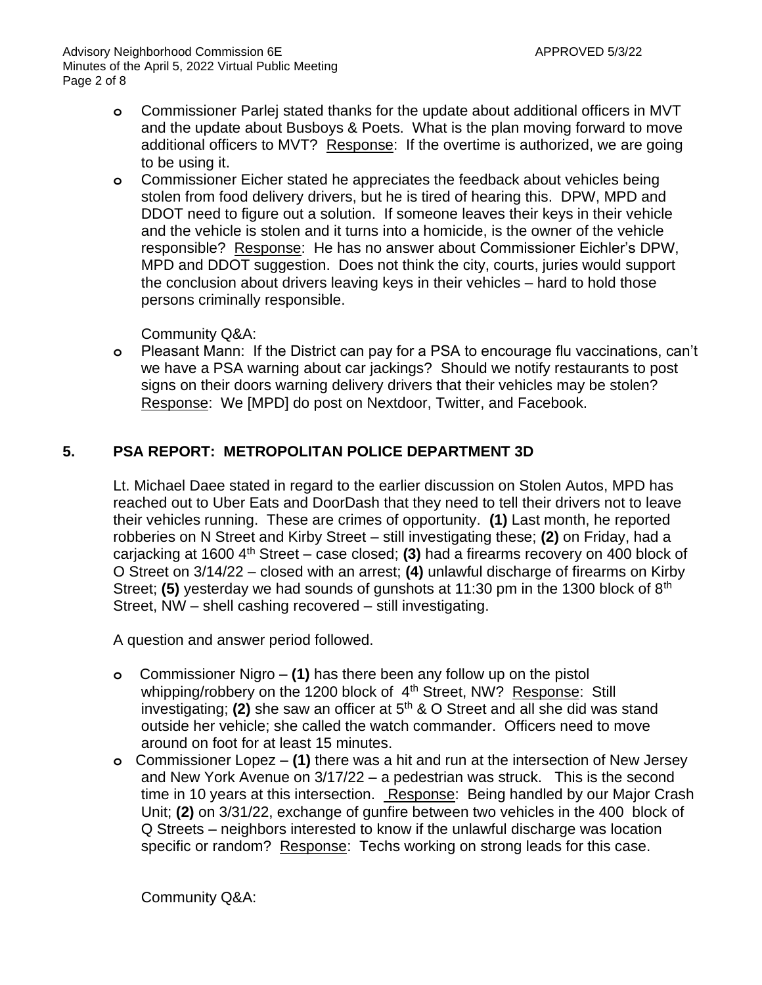- **o** Commissioner Parlej stated thanks for the update about additional officers in MVT and the update about Busboys & Poets. What is the plan moving forward to move additional officers to MVT? Response: If the overtime is authorized, we are going to be using it.
- **o** Commissioner Eicher stated he appreciates the feedback about vehicles being stolen from food delivery drivers, but he is tired of hearing this. DPW, MPD and DDOT need to figure out a solution. If someone leaves their keys in their vehicle and the vehicle is stolen and it turns into a homicide, is the owner of the vehicle responsible? Response: He has no answer about Commissioner Eichler's DPW, MPD and DDOT suggestion. Does not think the city, courts, juries would support the conclusion about drivers leaving keys in their vehicles – hard to hold those persons criminally responsible.

Community Q&A:

**o** Pleasant Mann: If the District can pay for a PSA to encourage flu vaccinations, can't we have a PSA warning about car jackings? Should we notify restaurants to post signs on their doors warning delivery drivers that their vehicles may be stolen? Response: We [MPD] do post on Nextdoor, Twitter, and Facebook.

## **5. PSA REPORT: METROPOLITAN POLICE DEPARTMENT 3D**

Lt. Michael Daee stated in regard to the earlier discussion on Stolen Autos, MPD has reached out to Uber Eats and DoorDash that they need to tell their drivers not to leave their vehicles running. These are crimes of opportunity. **(1)** Last month, he reported robberies on N Street and Kirby Street – still investigating these; **(2)** on Friday, had a carjacking at 1600 4th Street – case closed; **(3)** had a firearms recovery on 400 block of O Street on 3/14/22 – closed with an arrest; **(4)** unlawful discharge of firearms on Kirby Street; **(5)** yesterday we had sounds of gunshots at 11:30 pm in the 1300 block of 8<sup>th</sup> Street, NW – shell cashing recovered – still investigating.

A question and answer period followed.

- **o** Commissioner Nigro **(1)** has there been any follow up on the pistol whipping/robbery on the 1200 block of 4<sup>th</sup> Street, NW? Response: Still investigating; **(2)** she saw an officer at 5<sup>th</sup> & O Street and all she did was stand outside her vehicle; she called the watch commander. Officers need to move around on foot for at least 15 minutes.
- **o** Commissioner Lopez **(1)** there was a hit and run at the intersection of New Jersey and New York Avenue on 3/17/22 – a pedestrian was struck. This is the second time in 10 years at this intersection. Response: Being handled by our Major Crash Unit; **(2)** on 3/31/22, exchange of gunfire between two vehicles in the 400 block of Q Streets – neighbors interested to know if the unlawful discharge was location specific or random? Response: Techs working on strong leads for this case.

Community Q&A: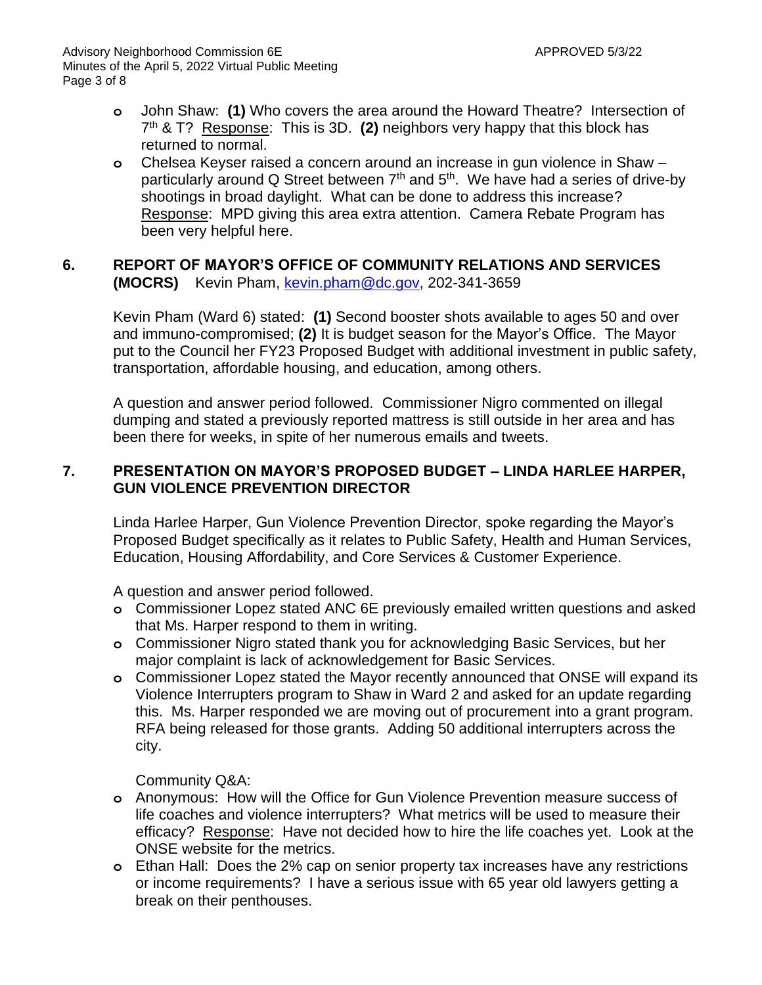- **o** John Shaw: **(1)** Who covers the area around the Howard Theatre? Intersection of 7 th & T? Response: This is 3D. **(2)** neighbors very happy that this block has returned to normal.
- **o** Chelsea Keyser raised a concern around an increase in gun violence in Shaw particularly around Q Street between  $7<sup>th</sup>$  and  $5<sup>th</sup>$ . We have had a series of drive-by shootings in broad daylight. What can be done to address this increase? Response: MPD giving this area extra attention. Camera Rebate Program has been very helpful here.

## **6. REPORT OF MAYOR'S OFFICE OF COMMUNITY RELATIONS AND SERVICES (MOCRS)** Kevin Pham, [kevin.pham@dc.gov,](mailto:kevin.pham@dc.gov) 202-341-3659

Kevin Pham (Ward 6) stated: **(1)** Second booster shots available to ages 50 and over and immuno-compromised; **(2)** It is budget season for the Mayor's Office. The Mayor put to the Council her FY23 Proposed Budget with additional investment in public safety, transportation, affordable housing, and education, among others.

A question and answer period followed. Commissioner Nigro commented on illegal dumping and stated a previously reported mattress is still outside in her area and has been there for weeks, in spite of her numerous emails and tweets.

## **7. PRESENTATION ON MAYOR'S PROPOSED BUDGET – LINDA HARLEE HARPER, GUN VIOLENCE PREVENTION DIRECTOR**

Linda Harlee Harper, Gun Violence Prevention Director, spoke regarding the Mayor's Proposed Budget specifically as it relates to Public Safety, Health and Human Services, Education, Housing Affordability, and Core Services & Customer Experience.

A question and answer period followed.

- **o** Commissioner Lopez stated ANC 6E previously emailed written questions and asked that Ms. Harper respond to them in writing.
- **o** Commissioner Nigro stated thank you for acknowledging Basic Services, but her major complaint is lack of acknowledgement for Basic Services.
- **o** Commissioner Lopez stated the Mayor recently announced that ONSE will expand its Violence Interrupters program to Shaw in Ward 2 and asked for an update regarding this. Ms. Harper responded we are moving out of procurement into a grant program. RFA being released for those grants. Adding 50 additional interrupters across the city.

Community Q&A:

- **o** Anonymous: How will the Office for Gun Violence Prevention measure success of life coaches and violence interrupters? What metrics will be used to measure their efficacy? Response: Have not decided how to hire the life coaches yet. Look at the ONSE website for the metrics.
- **o** Ethan Hall: Does the 2% cap on senior property tax increases have any restrictions or income requirements? I have a serious issue with 65 year old lawyers getting a break on their penthouses.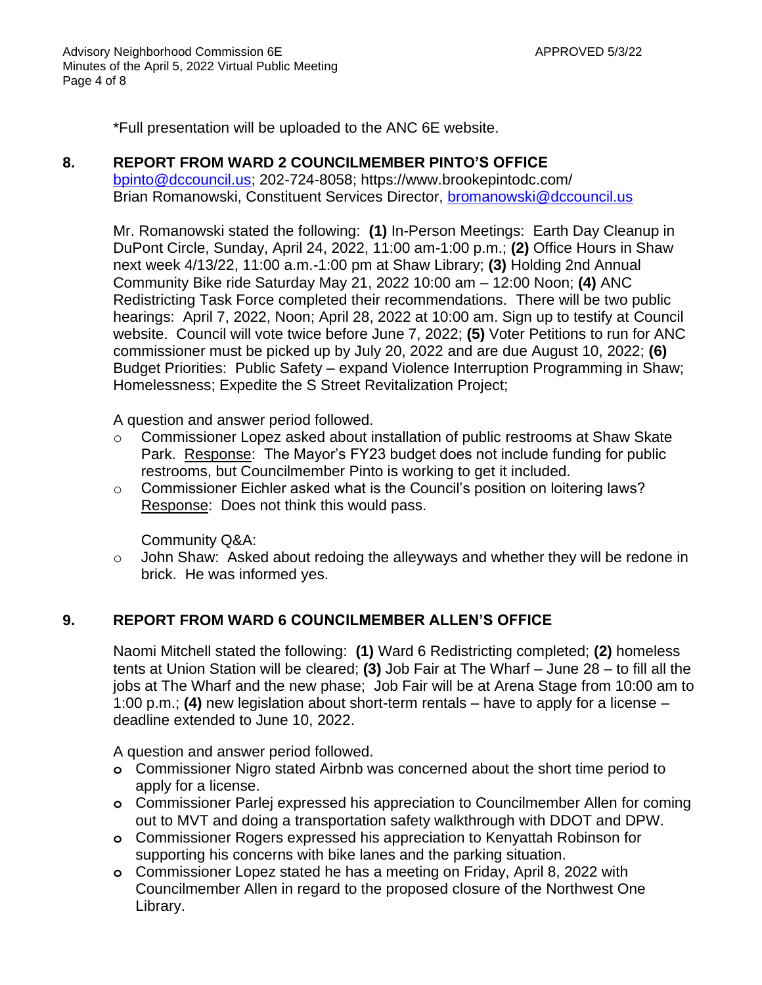\*Full presentation will be uploaded to the ANC 6E website.

#### **8. REPORT FROM WARD 2 COUNCILMEMBER PINTO'S OFFICE**

[bpinto@dccouncil.us;](mailto:bpinto@dccouncil.us) 202-724-8058; https://www.brookepintodc.com/ Brian Romanowski, Constituent Services Director, [bromanowski@dccouncil.us](mailto:bromanowski@dccouncil.us)

Mr. Romanowski stated the following: **(1)** In-Person Meetings: Earth Day Cleanup in DuPont Circle, Sunday, April 24, 2022, 11:00 am-1:00 p.m.; **(2)** Office Hours in Shaw next week 4/13/22, 11:00 a.m.-1:00 pm at Shaw Library; **(3)** Holding 2nd Annual Community Bike ride Saturday May 21, 2022 10:00 am – 12:00 Noon; **(4)** ANC Redistricting Task Force completed their recommendations. There will be two public hearings: April 7, 2022, Noon; April 28, 2022 at 10:00 am. Sign up to testify at Council website. Council will vote twice before June 7, 2022; **(5)** Voter Petitions to run for ANC commissioner must be picked up by July 20, 2022 and are due August 10, 2022; **(6)** Budget Priorities: Public Safety – expand Violence Interruption Programming in Shaw; Homelessness; Expedite the S Street Revitalization Project;

A question and answer period followed.

- $\circ$  Commissioner Lopez asked about installation of public restrooms at Shaw Skate Park. Response: The Mayor's FY23 budget does not include funding for public restrooms, but Councilmember Pinto is working to get it included.
- o Commissioner Eichler asked what is the Council's position on loitering laws? Response: Does not think this would pass.

Community Q&A:

 $\circ$  John Shaw: Asked about redoing the alleyways and whether they will be redone in brick. He was informed yes.

## **9. REPORT FROM WARD 6 COUNCILMEMBER ALLEN'S OFFICE**

Naomi Mitchell stated the following: **(1)** Ward 6 Redistricting completed; **(2)** homeless tents at Union Station will be cleared; **(3)** Job Fair at The Wharf – June 28 – to fill all the jobs at The Wharf and the new phase; Job Fair will be at Arena Stage from 10:00 am to 1:00 p.m.; **(4)** new legislation about short-term rentals – have to apply for a license – deadline extended to June 10, 2022.

A question and answer period followed.

- **o** Commissioner Nigro stated Airbnb was concerned about the short time period to apply for a license.
- **o** Commissioner Parlej expressed his appreciation to Councilmember Allen for coming out to MVT and doing a transportation safety walkthrough with DDOT and DPW.
- **o** Commissioner Rogers expressed his appreciation to Kenyattah Robinson for supporting his concerns with bike lanes and the parking situation.
- **o** Commissioner Lopez stated he has a meeting on Friday, April 8, 2022 with Councilmember Allen in regard to the proposed closure of the Northwest One Library.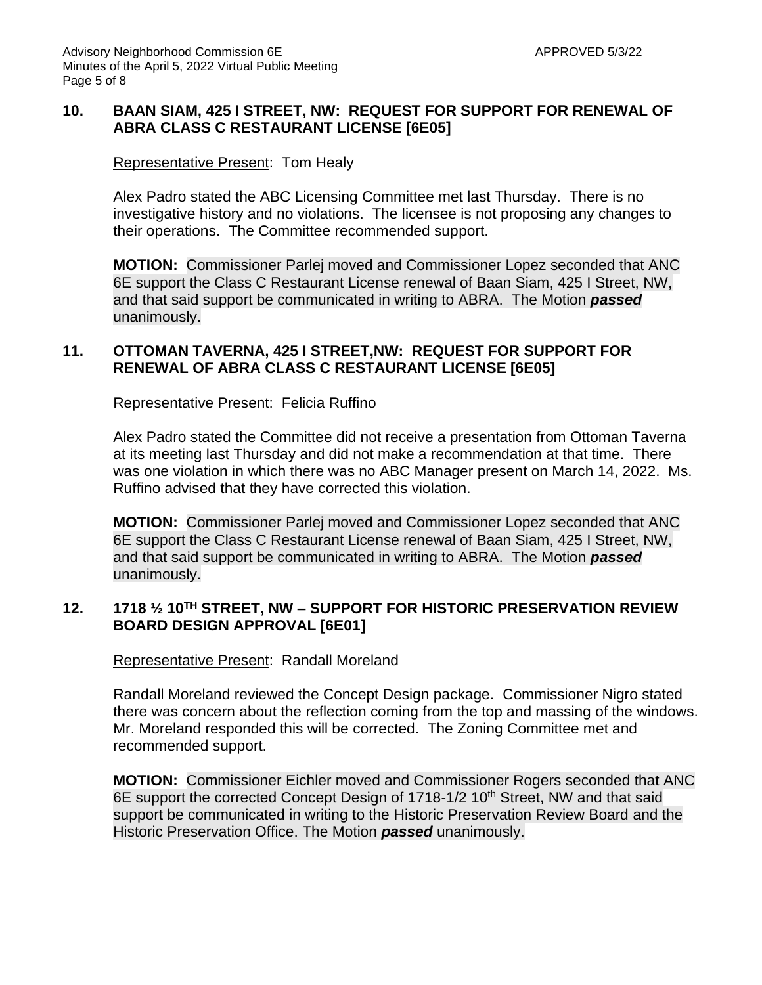## **10. BAAN SIAM, 425 I STREET, NW: REQUEST FOR SUPPORT FOR RENEWAL OF ABRA CLASS C RESTAURANT LICENSE [6E05]**

## Representative Present: Tom Healy

Alex Padro stated the ABC Licensing Committee met last Thursday. There is no investigative history and no violations. The licensee is not proposing any changes to their operations. The Committee recommended support.

**MOTION:** Commissioner Parlej moved and Commissioner Lopez seconded that ANC 6E support the Class C Restaurant License renewal of Baan Siam, 425 I Street, NW, and that said support be communicated in writing to ABRA. The Motion *passed* unanimously.

## **11. OTTOMAN TAVERNA, 425 I STREET,NW: REQUEST FOR SUPPORT FOR RENEWAL OF ABRA CLASS C RESTAURANT LICENSE [6E05]**

Representative Present: Felicia Ruffino

Alex Padro stated the Committee did not receive a presentation from Ottoman Taverna at its meeting last Thursday and did not make a recommendation at that time. There was one violation in which there was no ABC Manager present on March 14, 2022. Ms. Ruffino advised that they have corrected this violation.

**MOTION:** Commissioner Parlej moved and Commissioner Lopez seconded that ANC 6E support the Class C Restaurant License renewal of Baan Siam, 425 I Street, NW, and that said support be communicated in writing to ABRA. The Motion *passed* unanimously.

## **12. 1718 ½ 10TH STREET, NW – SUPPORT FOR HISTORIC PRESERVATION REVIEW BOARD DESIGN APPROVAL [6E01]**

Representative Present: Randall Moreland

Randall Moreland reviewed the Concept Design package. Commissioner Nigro stated there was concern about the reflection coming from the top and massing of the windows. Mr. Moreland responded this will be corrected. The Zoning Committee met and recommended support.

**MOTION:** Commissioner Eichler moved and Commissioner Rogers seconded that ANC 6E support the corrected Concept Design of 1718-1/2 10<sup>th</sup> Street, NW and that said support be communicated in writing to the Historic Preservation Review Board and the Historic Preservation Office. The Motion *passed* unanimously.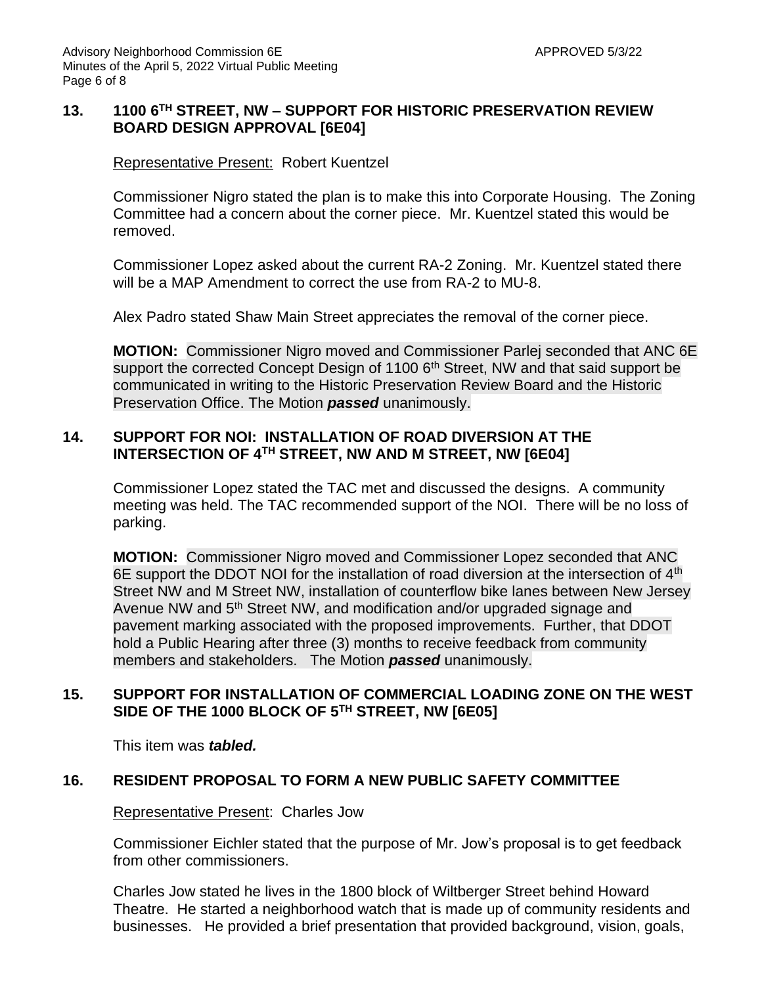## **13. 1100 6TH STREET, NW – SUPPORT FOR HISTORIC PRESERVATION REVIEW BOARD DESIGN APPROVAL [6E04]**

#### Representative Present: Robert Kuentzel

Commissioner Nigro stated the plan is to make this into Corporate Housing. The Zoning Committee had a concern about the corner piece. Mr. Kuentzel stated this would be removed.

Commissioner Lopez asked about the current RA-2 Zoning. Mr. Kuentzel stated there will be a MAP Amendment to correct the use from RA-2 to MU-8.

Alex Padro stated Shaw Main Street appreciates the removal of the corner piece.

**MOTION:** Commissioner Nigro moved and Commissioner Parlej seconded that ANC 6E support the corrected Concept Design of 1100 6<sup>th</sup> Street, NW and that said support be communicated in writing to the Historic Preservation Review Board and the Historic Preservation Office. The Motion *passed* unanimously.

## **14. SUPPORT FOR NOI: INSTALLATION OF ROAD DIVERSION AT THE INTERSECTION OF 4TH STREET, NW AND M STREET, NW [6E04]**

Commissioner Lopez stated the TAC met and discussed the designs. A community meeting was held. The TAC recommended support of the NOI. There will be no loss of parking.

**MOTION:** Commissioner Nigro moved and Commissioner Lopez seconded that ANC 6E support the DDOT NOI for the installation of road diversion at the intersection of 4<sup>th</sup> Street NW and M Street NW, installation of counterflow bike lanes between New Jersey Avenue NW and 5<sup>th</sup> Street NW, and modification and/or upgraded signage and pavement marking associated with the proposed improvements. Further, that DDOT hold a Public Hearing after three (3) months to receive feedback from community members and stakeholders. The Motion *passed* unanimously.

## **15. SUPPORT FOR INSTALLATION OF COMMERCIAL LOADING ZONE ON THE WEST SIDE OF THE 1000 BLOCK OF 5TH STREET, NW [6E05]**

This item was *tabled.*

## **16. RESIDENT PROPOSAL TO FORM A NEW PUBLIC SAFETY COMMITTEE**

#### Representative Present: Charles Jow

Commissioner Eichler stated that the purpose of Mr. Jow's proposal is to get feedback from other commissioners.

Charles Jow stated he lives in the 1800 block of Wiltberger Street behind Howard Theatre. He started a neighborhood watch that is made up of community residents and businesses. He provided a brief presentation that provided background, vision, goals,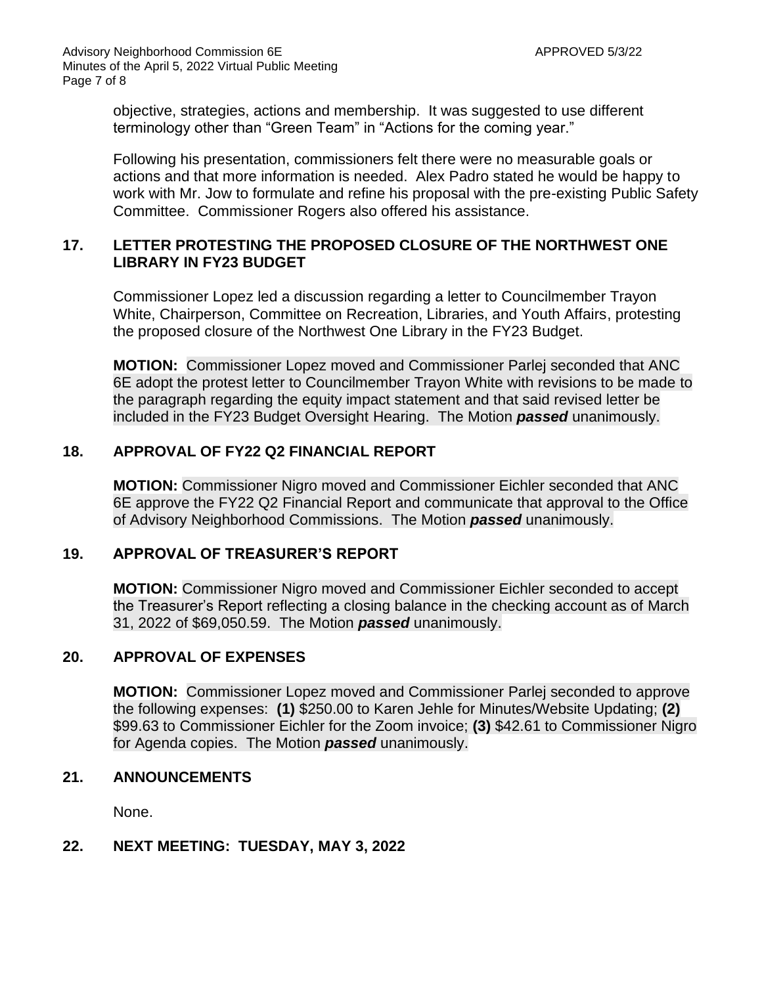objective, strategies, actions and membership. It was suggested to use different terminology other than "Green Team" in "Actions for the coming year."

Following his presentation, commissioners felt there were no measurable goals or actions and that more information is needed. Alex Padro stated he would be happy to work with Mr. Jow to formulate and refine his proposal with the pre-existing Public Safety Committee. Commissioner Rogers also offered his assistance.

## **17. LETTER PROTESTING THE PROPOSED CLOSURE OF THE NORTHWEST ONE LIBRARY IN FY23 BUDGET**

Commissioner Lopez led a discussion regarding a letter to Councilmember Trayon White, Chairperson, Committee on Recreation, Libraries, and Youth Affairs, protesting the proposed closure of the Northwest One Library in the FY23 Budget.

**MOTION:** Commissioner Lopez moved and Commissioner Parlej seconded that ANC 6E adopt the protest letter to Councilmember Trayon White with revisions to be made to the paragraph regarding the equity impact statement and that said revised letter be included in the FY23 Budget Oversight Hearing. The Motion *passed* unanimously.

## **18. APPROVAL OF FY22 Q2 FINANCIAL REPORT**

**MOTION:** Commissioner Nigro moved and Commissioner Eichler seconded that ANC 6E approve the FY22 Q2 Financial Report and communicate that approval to the Office of Advisory Neighborhood Commissions. The Motion *passed* unanimously.

## **19. APPROVAL OF TREASURER'S REPORT**

**MOTION:** Commissioner Nigro moved and Commissioner Eichler seconded to accept the Treasurer's Report reflecting a closing balance in the checking account as of March 31, 2022 of \$69,050.59. The Motion *passed* unanimously.

## **20. APPROVAL OF EXPENSES**

**MOTION:** Commissioner Lopez moved and Commissioner Parlej seconded to approve the following expenses: **(1)** \$250.00 to Karen Jehle for Minutes/Website Updating; **(2)** \$99.63 to Commissioner Eichler for the Zoom invoice; **(3)** \$42.61 to Commissioner Nigro for Agenda copies. The Motion *passed* unanimously.

## **21. ANNOUNCEMENTS**

None.

# **22. NEXT MEETING: TUESDAY, MAY 3, 2022**